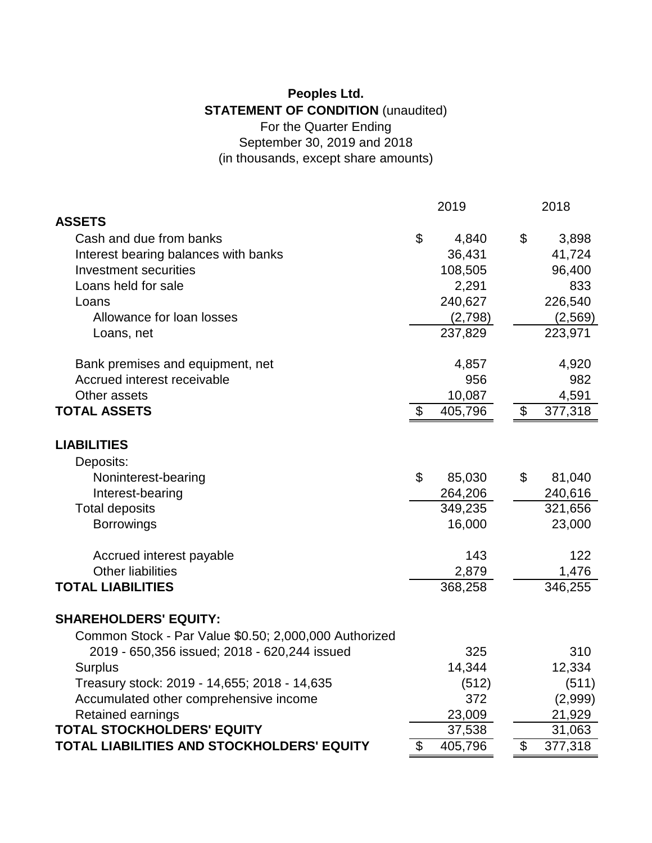## **Peoples Ltd. STATEMENT OF CONDITION** (unaudited) For the Quarter Ending September 30, 2019 and 2018 (in thousands, except share amounts)

|                                                       | 2019 |         |  | 2018 |          |  |
|-------------------------------------------------------|------|---------|--|------|----------|--|
| <b>ASSETS</b>                                         |      |         |  |      |          |  |
| Cash and due from banks                               | \$   | 4,840   |  | \$   | 3,898    |  |
| Interest bearing balances with banks                  |      | 36,431  |  |      | 41,724   |  |
| <b>Investment securities</b>                          |      | 108,505 |  |      | 96,400   |  |
| Loans held for sale                                   |      | 2,291   |  |      | 833      |  |
| Loans                                                 |      | 240,627 |  |      | 226,540  |  |
| Allowance for loan losses                             |      | (2,798) |  |      | (2, 569) |  |
| Loans, net                                            |      | 237,829 |  |      | 223,971  |  |
| Bank premises and equipment, net                      |      | 4,857   |  |      | 4,920    |  |
| Accrued interest receivable                           |      | 956     |  |      | 982      |  |
| Other assets                                          |      | 10,087  |  |      | 4,591    |  |
| <b>TOTAL ASSETS</b>                                   | \$   | 405,796 |  | \$   | 377,318  |  |
| <b>LIABILITIES</b>                                    |      |         |  |      |          |  |
| Deposits:                                             |      |         |  |      |          |  |
| Noninterest-bearing                                   | \$   | 85,030  |  | \$   | 81,040   |  |
| Interest-bearing                                      |      | 264,206 |  |      | 240,616  |  |
| <b>Total deposits</b>                                 |      | 349,235 |  |      | 321,656  |  |
| <b>Borrowings</b>                                     |      | 16,000  |  |      | 23,000   |  |
| Accrued interest payable                              |      | 143     |  |      | 122      |  |
| <b>Other liabilities</b>                              |      | 2,879   |  |      | 1,476    |  |
| <b>TOTAL LIABILITIES</b>                              |      | 368,258 |  |      | 346,255  |  |
| <b>SHAREHOLDERS' EQUITY:</b>                          |      |         |  |      |          |  |
| Common Stock - Par Value \$0.50; 2,000,000 Authorized |      |         |  |      |          |  |
| 2019 - 650,356 issued; 2018 - 620,244 issued          |      | 325     |  |      | 310      |  |
| <b>Surplus</b>                                        |      | 14,344  |  |      | 12,334   |  |
| Treasury stock: 2019 - 14,655; 2018 - 14,635          |      | (512)   |  |      | (511)    |  |
| Accumulated other comprehensive income                |      | 372     |  |      | (2,999)  |  |
| Retained earnings                                     |      | 23,009  |  |      | 21,929   |  |
| <b>TOTAL STOCKHOLDERS' EQUITY</b>                     |      | 37,538  |  |      | 31,063   |  |
| TOTAL LIABILITIES AND STOCKHOLDERS' EQUITY            | \$   | 405,796 |  | \$   | 377,318  |  |